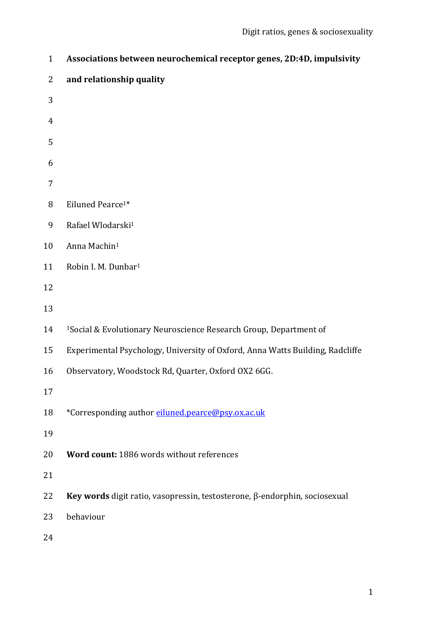| $\mathbf{1}$   | Associations between neurochemical receptor genes, 2D:4D, impulsivity         |
|----------------|-------------------------------------------------------------------------------|
| $\overline{2}$ | and relationship quality                                                      |
| 3              |                                                                               |
| $\overline{4}$ |                                                                               |
| 5              |                                                                               |
| 6              |                                                                               |
| $\overline{7}$ |                                                                               |
| 8              | Eiluned Pearce <sup>1*</sup>                                                  |
| 9              | Rafael Wlodarski <sup>1</sup>                                                 |
| 10             | Anna Machin <sup>1</sup>                                                      |
| 11             | Robin I. M. Dunbar <sup>1</sup>                                               |
| 12             |                                                                               |
| 13             |                                                                               |
| 14             | <sup>1</sup> Social & Evolutionary Neuroscience Research Group, Department of |
| 15             | Experimental Psychology, University of Oxford, Anna Watts Building, Radcliffe |
| 16             | Observatory, Woodstock Rd, Quarter, Oxford OX2 6GG.                           |
| 17             |                                                                               |
| 18             | *Corresponding author eiluned.pearce@psy.ox.ac.uk                             |
| 19             |                                                                               |
| 20             | Word count: 1886 words without references                                     |
| 21             |                                                                               |
| 22             | Key words digit ratio, vasopressin, testosterone, β-endorphin, sociosexual    |
| 23             | behaviour                                                                     |
| 24             |                                                                               |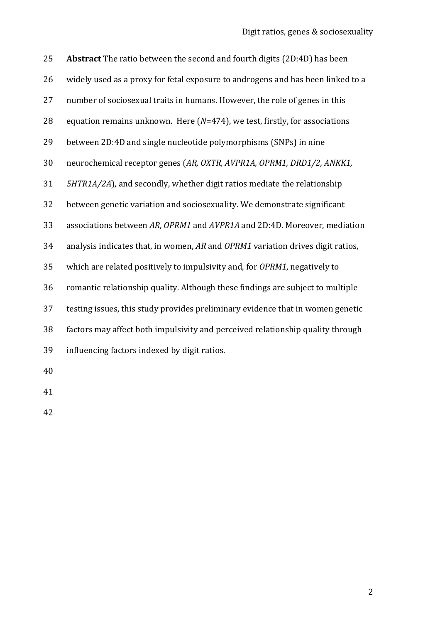| 25 | Abstract The ratio between the second and fourth digits (2D:4D) has been        |
|----|---------------------------------------------------------------------------------|
| 26 | widely used as a proxy for fetal exposure to androgens and has been linked to a |
| 27 | number of sociosexual traits in humans. However, the role of genes in this      |
| 28 | equation remains unknown. Here $(N=474)$ , we test, firstly, for associations   |
| 29 | between 2D:4D and single nucleotide polymorphisms (SNPs) in nine                |
| 30 | neurochemical receptor genes (AR, OXTR, AVPR1A, OPRM1, DRD1/2, ANKK1,           |
| 31 | 5HTR1A/2A), and secondly, whether digit ratios mediate the relationship         |
| 32 | between genetic variation and sociosexuality. We demonstrate significant        |
| 33 | associations between AR, OPRM1 and AVPR1A and 2D:4D. Moreover, mediation        |
| 34 | analysis indicates that, in women, AR and OPRM1 variation drives digit ratios,  |
| 35 | which are related positively to impulsivity and, for OPRM1, negatively to       |
| 36 | romantic relationship quality. Although these findings are subject to multiple  |
| 37 | testing issues, this study provides preliminary evidence that in women genetic  |
| 38 | factors may affect both impulsivity and perceived relationship quality through  |
| 39 | influencing factors indexed by digit ratios.                                    |
| 40 |                                                                                 |

- 
-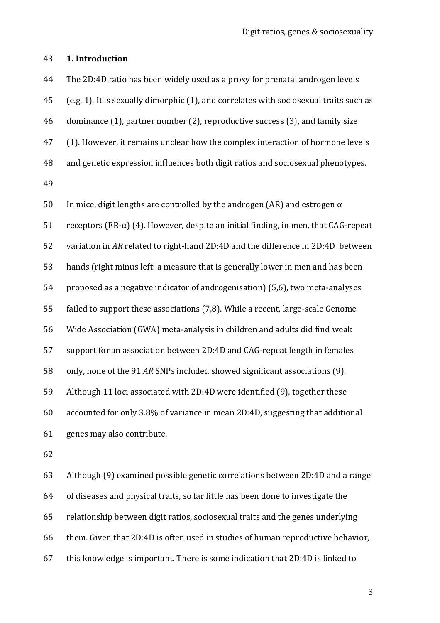#### **1. Introduction**

 The 2D:4D ratio has been widely used as a proxy for prenatal androgen levels (e.g. 1). It is sexually dimorphic (1), and correlates with sociosexual traits such as dominance (1), partner number (2), reproductive success (3), and family size (1). However, it remains unclear how the complex interaction of hormone levels and genetic expression influences both digit ratios and sociosexual phenotypes. 

50 In mice, digit lengths are controlled by the androgen (AR) and estrogen  $α$ 51 receptors (ER-α) (4). However, despite an initial finding, in men, that CAG-repeat variation in *AR* related to right-hand 2D:4D and the difference in 2D:4D between hands (right minus left: a measure that is generally lower in men and has been proposed as a negative indicator of androgenisation) (5,6), two meta-analyses failed to support these associations (7,8). While a recent, large-scale Genome Wide Association (GWA) meta-analysis in children and adults did find weak support for an association between 2D:4D and CAG-repeat length in females only, none of the 91 *AR* SNPs included showed significant associations (9). Although 11 loci associated with 2D:4D were identified (9), together these accounted for only 3.8% of variance in mean 2D:4D, suggesting that additional genes may also contribute. 

 Although (9) examined possible genetic correlations between 2D:4D and a range of diseases and physical traits, so far little has been done to investigate the relationship between digit ratios, sociosexual traits and the genes underlying them. Given that 2D:4D is often used in studies of human reproductive behavior, this knowledge is important. There is some indication that 2D:4D is linked to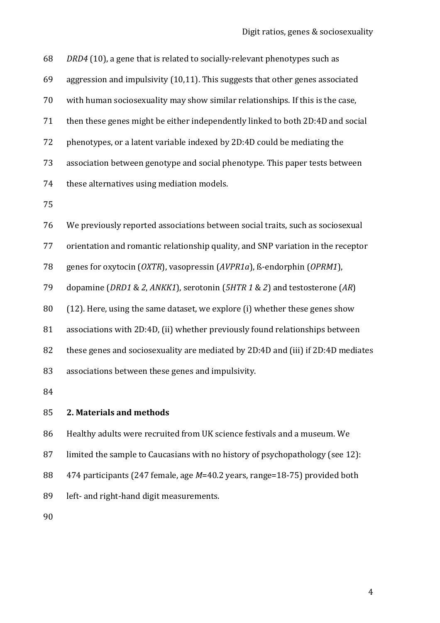*DRD4* (10), a gene that is related to socially-relevant phenotypes such as aggression and impulsivity (10,11). This suggests that other genes associated with human sociosexuality may show similar relationships. If this is the case, then these genes might be either independently linked to both 2D:4D and social phenotypes, or a latent variable indexed by 2D:4D could be mediating the association between genotype and social phenotype. This paper tests between these alternatives using mediation models. We previously reported associations between social traits, such as sociosexual orientation and romantic relationship quality, and SNP variation in the receptor genes for oxytocin (*OXTR*), vasopressin (*AVPR1a*), ß-endorphin (*OPRM1*), dopamine (*DRD1* & *2*, *ANKK1*), serotonin (*5HTR 1* & *2*) and testosterone (*AR*) (12). Here, using the same dataset, we explore (i) whether these genes show associations with 2D:4D, (ii) whether previously found relationships between these genes and sociosexuality are mediated by 2D:4D and (iii) if 2D:4D mediates associations between these genes and impulsivity. **2. Materials and methods**

 Healthy adults were recruited from UK science festivals and a museum. We limited the sample to Caucasians with no history of psychopathology (see 12): 474 participants (247 female, age *M*=40.2 years, range=18-75) provided both left- and right-hand digit measurements.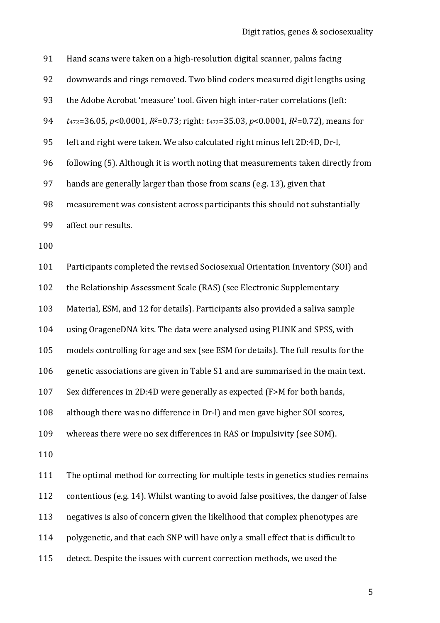| 91  | Hand scans were taken on a high-resolution digital scanner, palms facing                                  |
|-----|-----------------------------------------------------------------------------------------------------------|
| 92  | downwards and rings removed. Two blind coders measured digit lengths using                                |
| 93  | the Adobe Acrobat 'measure' tool. Given high inter-rater correlations (left:                              |
| 94  | $t_{472}=36.05$ , $p<0.0001$ , $R^2=0.73$ ; right: $t_{472}=35.03$ , $p<0.0001$ , $R^2=0.72$ ), means for |
| 95  | left and right were taken. We also calculated right minus left 2D:4D, Dr-l,                               |
| 96  | following (5). Although it is worth noting that measurements taken directly from                          |
| 97  | hands are generally larger than those from scans (e.g. 13), given that                                    |
| 98  | measurement was consistent across participants this should not substantially                              |
| 99  | affect our results.                                                                                       |
| 100 |                                                                                                           |
| 101 | Participants completed the revised Sociosexual Orientation Inventory (SOI) and                            |
| 102 | the Relationship Assessment Scale (RAS) (see Electronic Supplementary                                     |
| 103 | Material, ESM, and 12 for details). Participants also provided a saliva sample                            |
| 104 | using OrageneDNA kits. The data were analysed using PLINK and SPSS, with                                  |
| 105 | models controlling for age and sex (see ESM for details). The full results for the                        |
| 106 | genetic associations are given in Table S1 and are summarised in the main text.                           |
| 107 | Sex differences in 2D:4D were generally as expected (F>M for both hands,                                  |
| 108 | although there was no difference in Dr-l) and men gave higher SOI scores,                                 |
| 109 | whereas there were no sex differences in RAS or Impulsivity (see SOM).                                    |
| 110 |                                                                                                           |
| 111 | The optimal method for correcting for multiple tests in genetics studies remains                          |
| 112 | contentious (e.g. 14). Whilst wanting to avoid false positives, the danger of false                       |
| 113 | negatives is also of concern given the likelihood that complex phenotypes are                             |
| 114 | polygenetic, and that each SNP will have only a small effect that is difficult to                         |
| 115 | detect. Despite the issues with current correction methods, we used the                                   |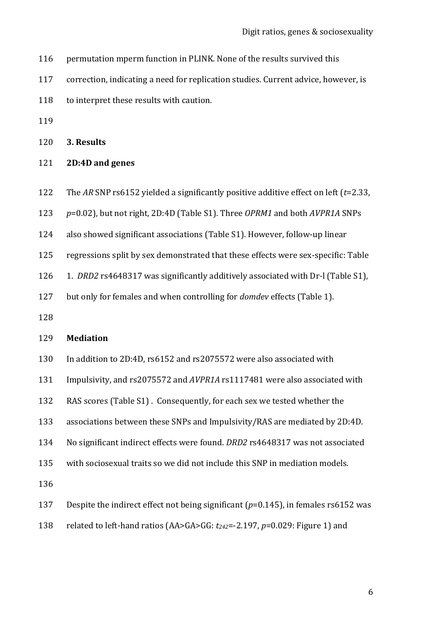- permutation mperm function in PLINK. None of the results survived this
- correction, indicating a need for replication studies. Current advice, however, is
- 118 to interpret these results with caution.
- 

**3. Results**

- **2D:4D and genes**
- The *AR* SNP rs6152 yielded a significantly positive additive effect on left (*t*=2.33,
- *p*=0.02), but not right, 2D:4D (Table S1). Three *OPRM1* and both *AVPR1A* SNPs
- also showed significant associations (Table S1). However, follow-up linear
- regressions split by sex demonstrated that these effects were sex-specific: Table
- 1. *DRD2* rs4648317 was significantly additively associated with Dr-l (Table S1),
- but only for females and when controlling for *domdev* effects (Table 1).
- 

## **Mediation**

- In addition to 2D:4D, rs6152 and rs2075572 were also associated with
- Impulsivity, and rs2075572 and *AVPR1A* rs1117481 were also associated with
- RAS scores (Table S1) . Consequently, for each sex we tested whether the
- associations between these SNPs and Impulsivity/RAS are mediated by 2D:4D.
- No significant indirect effects were found. *DRD2* rs4648317 was not associated
- with sociosexual traits so we did not include this SNP in mediation models.

- Despite the indirect effect not being significant (*p*=0.145), in females rs6152 was
- related to left-hand ratios (AA>GA>GG: *t242*=-2.197, *p*=0.029: Figure 1) and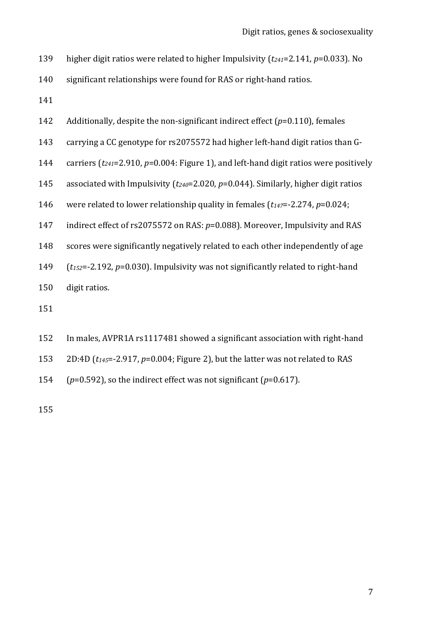- higher digit ratios were related to higher Impulsivity (*t241*=2.141, *p*=0.033). No
- significant relationships were found for RAS or right-hand ratios.
- 
- Additionally, despite the non-significant indirect effect (*p*=0.110), females
- carrying a CC genotype for rs2075572 had higher left-hand digit ratios than G-
- carriers (*t241*=2.910, *p*=0.004: Figure 1), and left-hand digit ratios were positively
- associated with Impulsivity (*t240*=2.020, *p*=0.044). Similarly, higher digit ratios
- were related to lower relationship quality in females (*t147*=-2.274, *p*=0.024;
- indirect effect of rs2075572 on RAS: *p*=0.088). Moreover, Impulsivity and RAS
- scores were significantly negatively related to each other independently of age
- (*t152*=-2.192, *p*=0.030). Impulsivity was not significantly related to right-hand
- digit ratios.
- 
- In males, AVPR1A rs1117481 showed a significant association with right-hand
- 2D:4D (*t145*=-2.917, *p*=0.004; Figure 2), but the latter was not related to RAS
- (*p*=0.592), so the indirect effect was not significant (*p*=0.617).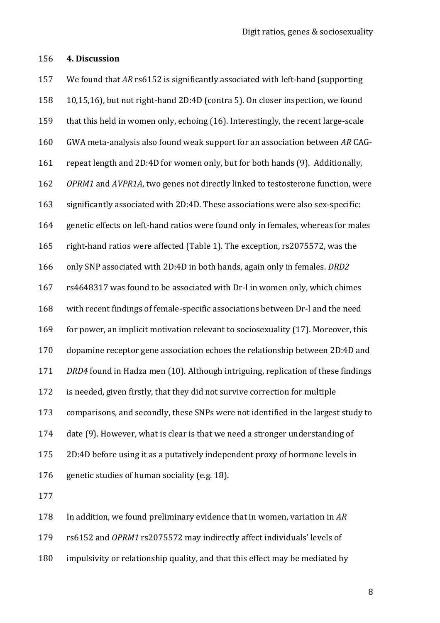### **4. Discussion**

 We found that *AR* rs6152 is significantly associated with left-hand (supporting 10,15,16), but not right-hand 2D:4D (contra 5). On closer inspection, we found that this held in women only, echoing (16). Interestingly, the recent large-scale GWA meta-analysis also found weak support for an association between *AR* CAG- repeat length and 2D:4D for women only, but for both hands (9). Additionally, *OPRM1* and *AVPR1A*, two genes not directly linked to testosterone function, were significantly associated with 2D:4D. These associations were also sex-specific: genetic effects on left-hand ratios were found only in females, whereas for males right-hand ratios were affected (Table 1). The exception, rs2075572, was the only SNP associated with 2D:4D in both hands, again only in females. *DRD2*  rs4648317 was found to be associated with Dr-l in women only, which chimes with recent findings of female-specific associations between Dr-l and the need for power, an implicit motivation relevant to sociosexuality (17). Moreover, this dopamine receptor gene association echoes the relationship between 2D:4D and *DRD4* found in Hadza men (10). Although intriguing, replication of these findings is needed, given firstly, that they did not survive correction for multiple comparisons, and secondly, these SNPs were not identified in the largest study to date (9). However, what is clear is that we need a stronger understanding of 2D:4D before using it as a putatively independent proxy of hormone levels in genetic studies of human sociality (e.g. 18). 

In addition, we found preliminary evidence that in women, variation in *AR*

rs6152 and *OPRM1* rs2075572 may indirectly affect individuals' levels of

impulsivity or relationship quality, and that this effect may be mediated by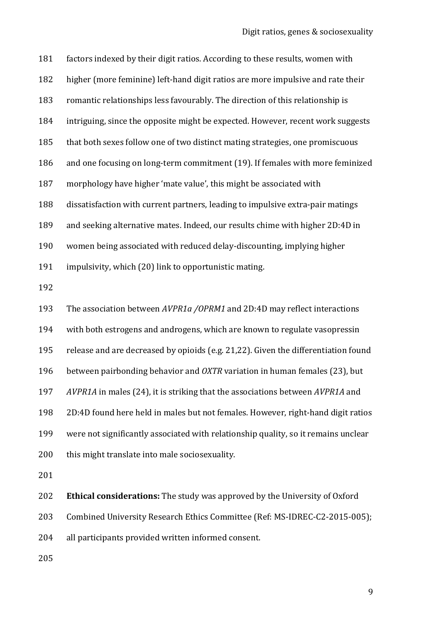factors indexed by their digit ratios. According to these results, women with higher (more feminine) left-hand digit ratios are more impulsive and rate their romantic relationships less favourably. The direction of this relationship is intriguing, since the opposite might be expected. However, recent work suggests that both sexes follow one of two distinct mating strategies, one promiscuous and one focusing on long-term commitment (19). If females with more feminized morphology have higher 'mate value', this might be associated with dissatisfaction with current partners, leading to impulsive extra-pair matings and seeking alternative mates. Indeed, our results chime with higher 2D:4D in women being associated with reduced delay-discounting, implying higher impulsivity, which (20) link to opportunistic mating.

 The association between *AVPR1a /OPRM1* and 2D:4D may reflect interactions with both estrogens and androgens, which are known to regulate vasopressin release and are decreased by opioids (e.g. 21,22). Given the differentiation found between pairbonding behavior and *OXTR* variation in human females (23), but *AVPR1A* in males (24), it is striking that the associations between *AVPR1A* and 2D:4D found here held in males but not females. However, right-hand digit ratios were not significantly associated with relationship quality, so it remains unclear 200 this might translate into male sociosexuality. 

 **Ethical considerations:** The study was approved by the University of Oxford Combined University Research Ethics Committee (Ref: MS-IDREC-C2-2015-005);

all participants provided written informed consent.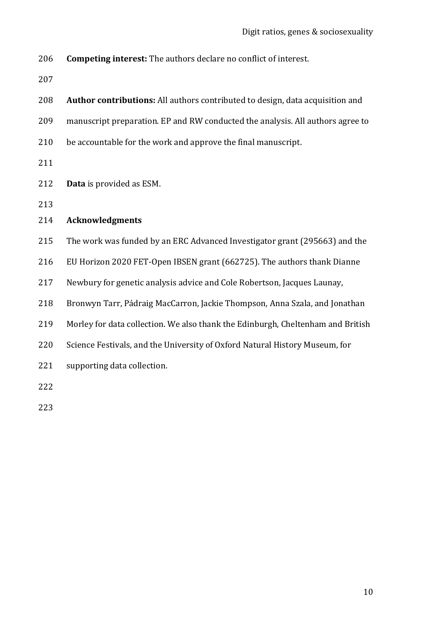**Competing interest:** The authors declare no conflict of interest.

 **Author contributions:** All authors contributed to design, data acquisition and manuscript preparation. EP and RW conducted the analysis. All authors agree to be accountable for the work and approve the final manuscript. **Data** is provided as ESM. **Acknowledgments** The work was funded by an ERC Advanced Investigator grant (295663) and the EU Horizon 2020 FET-Open IBSEN grant (662725). The authors thank Dianne Newbury for genetic analysis advice and Cole Robertson, Jacques Launay, Bronwyn Tarr, Pádraig MacCarron, Jackie Thompson, Anna Szala, and Jonathan Morley for data collection. We also thank the Edinburgh, Cheltenham and British Science Festivals, and the University of Oxford Natural History Museum, for supporting data collection.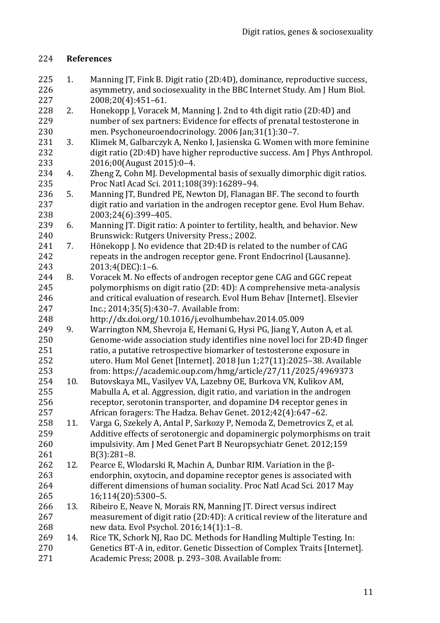# **References**

- 1. Manning JT, Fink B. Digit ratio (2D:4D), dominance, reproductive success, asymmetry, and sociosexuality in the BBC Internet Study. Am J Hum Biol. 2008;20(4):451–61.
- 228 2. Honekopp J, Voracek M, Manning J. 2nd to 4th digit ratio (2D:4D) and number of sex partners: Evidence for effects of prenatal testosterone in men. Psychoneuroendocrinology. 2006 Jan;31(1):30–7.
- 3. Klimek M, Galbarczyk A, Nenko I, Jasienska G. Women with more feminine digit ratio (2D:4D) have higher reproductive success. Am J Phys Anthropol. 2016;00(August 2015):0–4.
- 4. Zheng Z, Cohn MJ. Developmental basis of sexually dimorphic digit ratios. Proc Natl Acad Sci. 2011;108(39):16289–94.
- 5. Manning JT, Bundred PE, Newton DJ, Flanagan BF. The second to fourth digit ratio and variation in the androgen receptor gene. Evol Hum Behav. 2003;24(6):399–405.
- 6. Manning JT. Digit ratio: A pointer to fertility, health, and behavior. New Brunswick: Rutgers University Press.; 2002.
- 7. Hönekopp J. No evidence that 2D:4D is related to the number of CAG repeats in the androgen receptor gene. Front Endocrinol (Lausanne). 2013;4(DEC):1–6.
- 8. Voracek M. No effects of androgen receptor gene CAG and GGC repeat polymorphisms on digit ratio (2D: 4D): A comprehensive meta-analysis and critical evaluation of research. Evol Hum Behav [Internet]. Elsevier Inc.; 2014;35(5):430–7. Available from:
- http://dx.doi.org/10.1016/j.evolhumbehav.2014.05.009
- 9. Warrington NM, Shevroja E, Hemani G, Hysi PG, Jiang Y, Auton A, et al. Genome-wide association study identifies nine novel loci for 2D:4D finger ratio, a putative retrospective biomarker of testosterone exposure in utero. Hum Mol Genet [Internet]. 2018 Jun 1;27(11):2025–38. Available from: https://academic.oup.com/hmg/article/27/11/2025/4969373
- 10. Butovskaya ML, Vasilyev VA, Lazebny OE, Burkova VN, Kulikov AM, Mabulla A, et al. Aggression, digit ratio, and variation in the androgen receptor, serotonin transporter, and dopamine D4 receptor genes in African foragers: The Hadza. Behav Genet. 2012;42(4):647–62.
- 11. Varga G, Szekely A, Antal P, Sarkozy P, Nemoda Z, Demetrovics Z, et al. Additive effects of serotonergic and dopaminergic polymorphisms on trait impulsivity. Am J Med Genet Part B Neuropsychiatr Genet. 2012;159 B(3):281–8.
- 12. Pearce E, Wlodarski R, Machin A, Dunbar RIM. Variation in the β- endorphin, oxytocin, and dopamine receptor genes is associated with different dimensions of human sociality. Proc Natl Acad Sci. 2017 May 16;114(20):5300–5.
- 13. Ribeiro E, Neave N, Morais RN, Manning JT. Direct versus indirect measurement of digit ratio (2D:4D): A critical review of the literature and new data. Evol Psychol. 2016;14(1):1–8.
- 269 14. Rice TK, Schork NJ, Rao DC. Methods for Handling Multiple Testing. In: Genetics BT-A in, editor. Genetic Dissection of Complex Traits [Internet]. Academic Press; 2008. p. 293–308. Available from: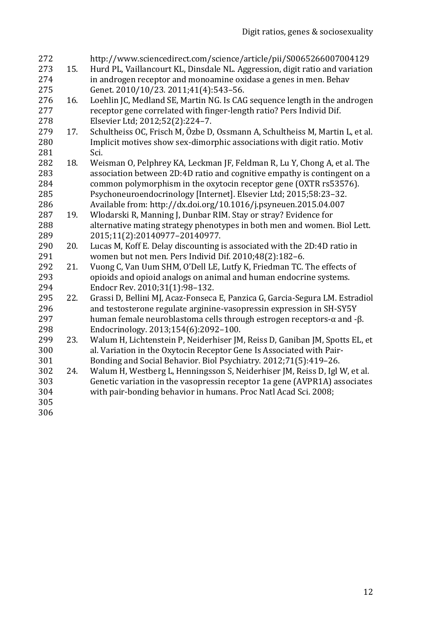| 272<br>273<br>274<br>275 | 15. | http://www.sciencedirect.com/science/article/pii/S0065266007004129<br>Hurd PL, Vaillancourt KL, Dinsdale NL. Aggression, digit ratio and variation<br>in androgen receptor and monoamine oxidase a genes in men. Behav<br>Genet. 2010/10/23. 2011;41(4):543-56. |
|--------------------------|-----|-----------------------------------------------------------------------------------------------------------------------------------------------------------------------------------------------------------------------------------------------------------------|
| 276                      | 16. | Loehlin JC, Medland SE, Martin NG. Is CAG sequence length in the androgen                                                                                                                                                                                       |
| 277                      |     | receptor gene correlated with finger-length ratio? Pers Individ Dif.                                                                                                                                                                                            |
| 278                      |     | Elsevier Ltd; 2012;52(2):224-7.                                                                                                                                                                                                                                 |
| 279                      | 17. | Schultheiss OC, Frisch M, Özbe D, Ossmann A, Schultheiss M, Martin L, et al.                                                                                                                                                                                    |
| 280                      |     | Implicit motives show sex-dimorphic associations with digit ratio. Motiv                                                                                                                                                                                        |
| 281                      |     | Sci.                                                                                                                                                                                                                                                            |
| 282                      | 18. | Weisman O, Pelphrey KA, Leckman JF, Feldman R, Lu Y, Chong A, et al. The                                                                                                                                                                                        |
| 283                      |     | association between 2D:4D ratio and cognitive empathy is contingent on a                                                                                                                                                                                        |
| 284                      |     | common polymorphism in the oxytocin receptor gene (OXTR rs53576).                                                                                                                                                                                               |
| 285                      |     | Psychoneuroendocrinology [Internet]. Elsevier Ltd; 2015;58:23-32.                                                                                                                                                                                               |
| 286                      |     | Available from: http://dx.doi.org/10.1016/j.psyneuen.2015.04.007                                                                                                                                                                                                |
| 287                      | 19. | Wlodarski R, Manning J, Dunbar RIM. Stay or stray? Evidence for                                                                                                                                                                                                 |
| 288                      |     | alternative mating strategy phenotypes in both men and women. Biol Lett.                                                                                                                                                                                        |
| 289                      |     | 2015;11(2):20140977-20140977.                                                                                                                                                                                                                                   |
| 290                      | 20. | Lucas M, Koff E. Delay discounting is associated with the 2D:4D ratio in                                                                                                                                                                                        |
| 291                      |     | women but not men. Pers Individ Dif. 2010;48(2):182-6.                                                                                                                                                                                                          |
| 292                      | 21. | Vuong C, Van Uum SHM, O'Dell LE, Lutfy K, Friedman TC. The effects of                                                                                                                                                                                           |
| 293                      |     | opioids and opioid analogs on animal and human endocrine systems.                                                                                                                                                                                               |
| 294                      |     | Endocr Rev. 2010;31(1):98-132.                                                                                                                                                                                                                                  |
| 295                      | 22. | Grassi D, Bellini MJ, Acaz-Fonseca E, Panzica G, Garcia-Segura LM. Estradiol                                                                                                                                                                                    |
| 296                      |     | and testosterone regulate arginine-vasopressin expression in SH-SY5Y                                                                                                                                                                                            |
| 297                      |     | human female neuroblastoma cells through estrogen receptors-α and -β.                                                                                                                                                                                           |
| 298                      |     | Endocrinology. 2013;154(6):2092-100.                                                                                                                                                                                                                            |
| 299                      | 23. | Walum H, Lichtenstein P, Neiderhiser JM, Reiss D, Ganiban JM, Spotts EL, et                                                                                                                                                                                     |
| 300                      |     | al. Variation in the Oxytocin Receptor Gene Is Associated with Pair-                                                                                                                                                                                            |
| 301                      |     | Bonding and Social Behavior. Biol Psychiatry. 2012;71(5):419-26.                                                                                                                                                                                                |
| 302                      | 24. | Walum H, Westberg L, Henningsson S, Neiderhiser JM, Reiss D, Igl W, et al.                                                                                                                                                                                      |
| 303                      |     | Genetic variation in the vasopressin receptor 1a gene (AVPR1A) associates                                                                                                                                                                                       |
| 304                      |     | with pair-bonding behavior in humans. Proc Natl Acad Sci. 2008;                                                                                                                                                                                                 |
| 305                      |     |                                                                                                                                                                                                                                                                 |
| 306                      |     |                                                                                                                                                                                                                                                                 |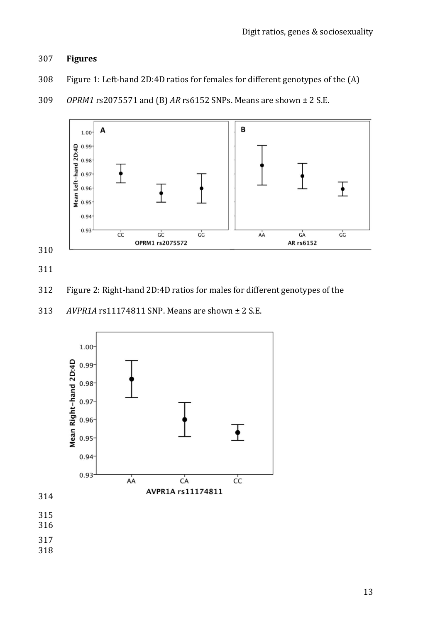## **Figures**

- Figure 1: Left-hand 2D:4D ratios for females for different genotypes of the (A)
- *OPRM1* rs2075571 and (B) *AR* rs6152 SNPs. Means are shown ± 2 S.E.



- Figure 2: Right-hand 2D:4D ratios for males for different genotypes of the
- *AVPR1A* rs11174811 SNP. Means are shown ± 2 S.E.